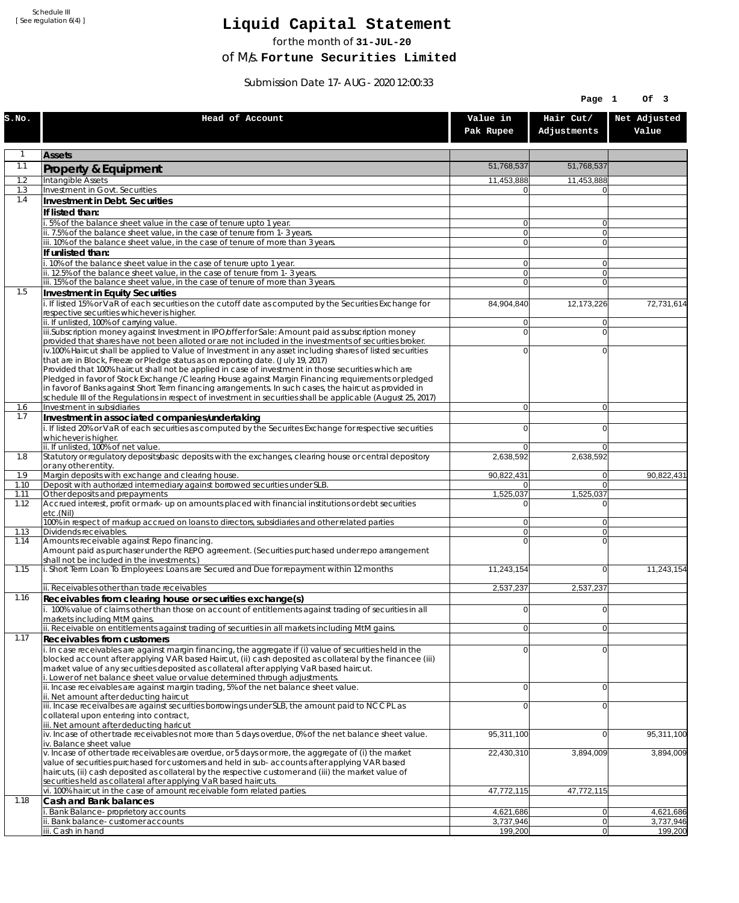Schedule III [ See regulation 6(4) ]

## **Liquid Capital Statement**

for the month of **31-JUL-20**

of M/s. **Fortune Securities Limited**

Submission Date 17-AUG-2020 12:00:33

|              |                                                                                                                                                                                                                                                                                                                    |                                  | Page 1                     | Of 3                   |
|--------------|--------------------------------------------------------------------------------------------------------------------------------------------------------------------------------------------------------------------------------------------------------------------------------------------------------------------|----------------------------------|----------------------------|------------------------|
| S.NO.        | Head of Account                                                                                                                                                                                                                                                                                                    | Value in<br>Pak Rupee            | Hair Cut/<br>Adjustments   | Net Adjusted<br>Value  |
|              | <b>Assets</b>                                                                                                                                                                                                                                                                                                      |                                  |                            |                        |
| 1.1          | Property & Equipment                                                                                                                                                                                                                                                                                               | 51,768,537                       | 51,768,537                 |                        |
| 1.2          | Intangible Assets                                                                                                                                                                                                                                                                                                  | 11,453,888                       | 11,453,888                 |                        |
| 1.3<br>1.4   | <b>Investment in Govt. Securities</b><br>Investment in Debt. Securities                                                                                                                                                                                                                                            | $\overline{0}$                   | $\Omega$                   |                        |
|              | If listed than:                                                                                                                                                                                                                                                                                                    |                                  |                            |                        |
|              | i. 5% of the balance sheet value in the case of tenure upto 1 year.                                                                                                                                                                                                                                                | $\overline{0}$                   | 0                          |                        |
|              | ii. 7.5% of the balance sheet value, in the case of tenure from 1-3 years.<br>iii. 10% of the balance sheet value, in the case of tenure of more than 3 years.                                                                                                                                                     | $\overline{0}$<br>$\overline{0}$ | $\overline{0}$<br>$\Omega$ |                        |
|              | If unlisted than:                                                                                                                                                                                                                                                                                                  |                                  |                            |                        |
|              | i. 10% of the balance sheet value in the case of tenure upto 1 year.                                                                                                                                                                                                                                               | $\overline{0}$                   | $\overline{0}$             |                        |
|              | ii. 12.5% of the balance sheet value, in the case of tenure from 1-3 years.<br>iii. 15% of the balance sheet value, in the case of tenure of more than 3 years.                                                                                                                                                    | 0 <br>$\overline{0}$             | $\Omega$<br>$\Omega$       |                        |
| 1.5          | Investment in Equity Securities                                                                                                                                                                                                                                                                                    |                                  |                            |                        |
|              | i. If listed 15% or VaR of each securities on the cutoff date as computed by the Securities Exchange for<br>respective securities whichever is higher.                                                                                                                                                             | 84,904,840                       | 12,173,226                 | 72,731,614             |
|              | ii. If unlisted, 100% of carrying value.                                                                                                                                                                                                                                                                           | $\overline{0}$                   | $\Omega$                   |                        |
|              | iii.Subscription money against Investment in IPO/offer for Sale: Amount paid as subscription money<br>provided that shares have not been alloted or are not included in the investments of securities broker.                                                                                                      | $\overline{0}$                   | 0                          |                        |
|              | iv.100% Haircut shall be applied to Value of Investment in any asset including shares of listed securities                                                                                                                                                                                                         | $\overline{0}$                   | 0                          |                        |
|              | that are in Block, Freeze or Pledge status as on reporting date. (July 19, 2017)                                                                                                                                                                                                                                   |                                  |                            |                        |
|              | Provided that 100% haircut shall not be applied in case of investment in those securities which are<br>Pledged in favor of Stock Exchange / Clearing House against Margin Financing requirements or pledged                                                                                                        |                                  |                            |                        |
|              | in favor of Banks against Short Term financing arrangements. In such cases, the haircut as provided in                                                                                                                                                                                                             |                                  |                            |                        |
| 1.6          | schedule III of the Regulations in respect of investment in securities shall be applicable (August 25, 2017)<br>Investment in subsidiaries                                                                                                                                                                         | 0                                | $\overline{0}$             |                        |
| 1.7          | Investment in associated companies/undertaking                                                                                                                                                                                                                                                                     |                                  |                            |                        |
|              | i. If listed 20% or VaR of each securities as computed by the Securites Exchange for respective securities                                                                                                                                                                                                         | $\Omega$                         | 0                          |                        |
|              | whichever is higher.<br>ii. If unlisted, 100% of net value.                                                                                                                                                                                                                                                        | 0                                | $\Omega$                   |                        |
| 1.8          | Statutory or regulatory deposits/basic deposits with the exchanges, clearing house or central depository                                                                                                                                                                                                           | 2,638,592                        | 2,638,592                  |                        |
| 1.9          | or any other entity.<br>Margin deposits with exchange and clearing house.                                                                                                                                                                                                                                          | 90,822,431                       | $\overline{0}$             | 90,822,431             |
| 1.10         | Deposit with authorized intermediary against borrowed securities under SLB.                                                                                                                                                                                                                                        | $\Omega$                         | $\Omega$                   |                        |
| 1.11<br>1.12 | Other deposits and prepayments<br>Accrued interest, profit or mark-up on amounts placed with financial institutions or debt securities                                                                                                                                                                             | 1,525,037<br>n                   | 1,525,037<br>$\Omega$      |                        |
|              | etc.(Nil)                                                                                                                                                                                                                                                                                                          |                                  |                            |                        |
| 1.13         | 100% in respect of markup accrued on loans to directors, subsidiaries and other related parties<br>Dividends receivables.                                                                                                                                                                                          | $\overline{0}$<br> 0             | 0 <br>$\overline{0}$       |                        |
| 1.14         | Amounts receivable against Repo financing.                                                                                                                                                                                                                                                                         | $\Omega$                         | 0                          |                        |
|              | Amount paid as purchaser under the REPO agreement. (Securities purchased under repo arrangement<br>shall not be included in the investments.)                                                                                                                                                                      |                                  |                            |                        |
| 1.15         | i. Short Term Loan To Employees: Loans are Secured and Due for repayment within 12 months                                                                                                                                                                                                                          | 11,243,154                       | $\Omega$                   | 11,243,154             |
|              |                                                                                                                                                                                                                                                                                                                    |                                  |                            |                        |
| 1.16         | ii. Receivables other than trade receivables<br>Receivables from clearing house or securities exchange(s)                                                                                                                                                                                                          | 2,537,237                        | 2,537,237                  |                        |
|              | i. 100% value of claims other than those on account of entitlements against trading of securities in all                                                                                                                                                                                                           | $\overline{0}$                   | 0                          |                        |
|              | markets including MtM gains.<br>ii. Receivable on entitlements against trading of securities in all markets including MtM gains.                                                                                                                                                                                   | 0                                | 0                          |                        |
| 1.17         | Receivables from customers                                                                                                                                                                                                                                                                                         |                                  |                            |                        |
|              | i. In case receivables are against margin financing, the aggregate if (i) value of securities held in the<br>blocked account after applying VAR based Haircut, (ii) cash deposited as collateral by the financee (iii)<br>market value of any securities deposited as collateral after applying VaR based haircut. | $\Omega$                         | $\mathbf 0$                |                        |
|              | i. Lower of net balance sheet value or value determined through adjustments.<br>ii. Incase receivables are against margin trading, 5% of the net balance sheet value.                                                                                                                                              | $\overline{0}$                   | 0                          |                        |
|              | ii. Net amount after deducting haircut<br>iii. Incase receivalbes are against securities borrowings under SLB, the amount paid to NCCPL as                                                                                                                                                                         | $\overline{0}$                   | 0                          |                        |
|              | collateral upon entering into contract,<br>iii. Net amount after deducting haricut                                                                                                                                                                                                                                 |                                  |                            |                        |
|              | iv. Incase of other trade receivables not more than 5 days overdue, 0% of the net balance sheet value.                                                                                                                                                                                                             | 95,311,100                       | $\overline{0}$             | 95,311,100             |
|              | iv. Balance sheet value<br>v. Incase of other trade receivables are overdue, or 5 days or more, the aggregate of (i) the market                                                                                                                                                                                    | 22,430,310                       | 3,894,009                  | 3,894,009              |
|              | value of securities purchased for customers and held in sub-accounts after applying VAR based<br>haircuts, (ii) cash deposited as collateral by the respective customer and (iii) the market value of<br>securities held as collateral after applying VaR based haircuts.                                          |                                  |                            |                        |
|              | vi. 100% haircut in the case of amount receivable form related parties.                                                                                                                                                                                                                                            | 47,772,115                       | 47,772,115                 |                        |
| 1.18         | Cash and Bank balances                                                                                                                                                                                                                                                                                             |                                  |                            |                        |
|              | Bank Balance-proprietory accounts<br>Bank balance-customer accounts                                                                                                                                                                                                                                                | 4,621,686<br>3,737,946           | 0 <br>$\overline{0}$       | 4,621,686<br>3,737,946 |
|              | iii. Cash in hand                                                                                                                                                                                                                                                                                                  | 199,200                          | 0                          | 199,200                |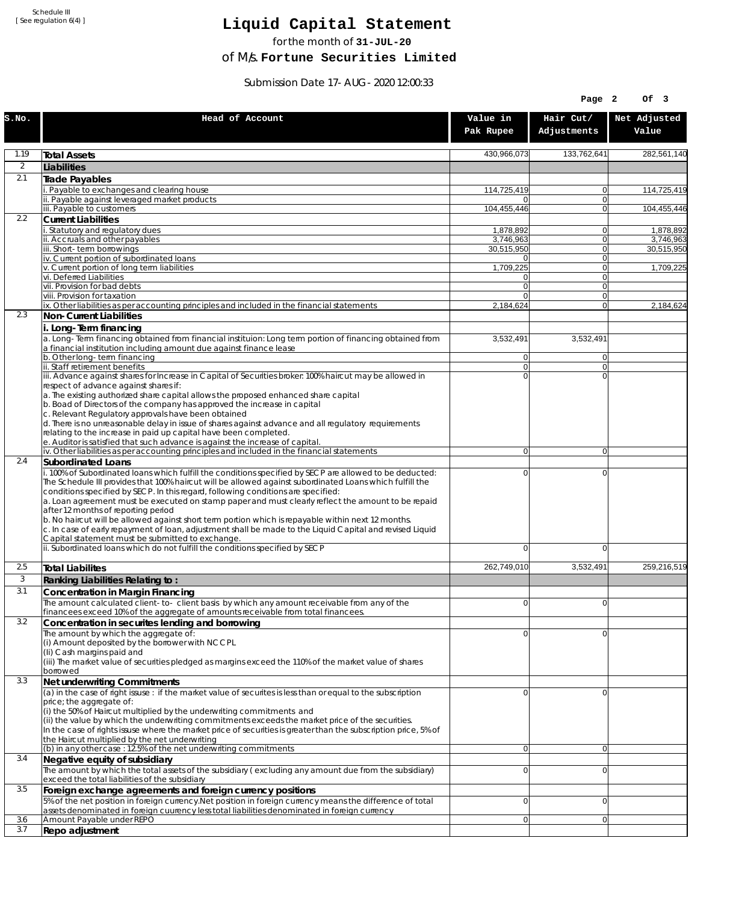Schedule III [ See regulation 6(4) ]

## **Liquid Capital Statement**

for the month of **31-JUL-20**

of M/s. **Fortune Securities Limited**

Submission Date 17-AUG-2020 12:00:33

|                |                                                                                                                                                                                                                                                                                                                                                                                                                                                                                                                                                                                                                                                                                                                             |                                  | Page 2                         | OF <sub>3</sub>        |
|----------------|-----------------------------------------------------------------------------------------------------------------------------------------------------------------------------------------------------------------------------------------------------------------------------------------------------------------------------------------------------------------------------------------------------------------------------------------------------------------------------------------------------------------------------------------------------------------------------------------------------------------------------------------------------------------------------------------------------------------------------|----------------------------------|--------------------------------|------------------------|
| S.NO.          | Head of Account                                                                                                                                                                                                                                                                                                                                                                                                                                                                                                                                                                                                                                                                                                             | Value in<br>Pak Rupee            | Hair Cut/<br>Adjustments       | Net Adjusted<br>Value  |
| 1.19           | <b>Total Assets</b>                                                                                                                                                                                                                                                                                                                                                                                                                                                                                                                                                                                                                                                                                                         | 430,966,073                      | 133,762,641                    | 282,561,140            |
| $\overline{2}$ | Liabilities                                                                                                                                                                                                                                                                                                                                                                                                                                                                                                                                                                                                                                                                                                                 |                                  |                                |                        |
| 2.1            | Trade Payables                                                                                                                                                                                                                                                                                                                                                                                                                                                                                                                                                                                                                                                                                                              |                                  |                                |                        |
|                | Payable to exchanges and clearing house<br>ii. Payable against leveraged market products                                                                                                                                                                                                                                                                                                                                                                                                                                                                                                                                                                                                                                    | 114,725,419                      | 0<br>$\mathbf{0}$              | 114,725,419            |
|                | iii. Payable to customers                                                                                                                                                                                                                                                                                                                                                                                                                                                                                                                                                                                                                                                                                                   | 104,455,446                      | 0                              | 104.455.446            |
| 2.2            | <b>Current Liabilities</b>                                                                                                                                                                                                                                                                                                                                                                                                                                                                                                                                                                                                                                                                                                  |                                  |                                |                        |
|                | . Statutory and regulatory dues<br>ii. Accruals and other payables                                                                                                                                                                                                                                                                                                                                                                                                                                                                                                                                                                                                                                                          | 1,878,892<br>3.746.963           | 0<br>$\mathbf{0}$              | 1,878,892<br>3,746,963 |
|                | iii. Short-term borrowings                                                                                                                                                                                                                                                                                                                                                                                                                                                                                                                                                                                                                                                                                                  | 30,515,950                       | 0                              | 30,515,950             |
|                | iv. Current portion of subordinated loans                                                                                                                                                                                                                                                                                                                                                                                                                                                                                                                                                                                                                                                                                   | 01                               | 0                              |                        |
|                | v. Current portion of long term liabilities<br>vi. Deferred Liabilities                                                                                                                                                                                                                                                                                                                                                                                                                                                                                                                                                                                                                                                     | 1,709,225<br>0                   | $\mathbf{0}$<br>0              | 1,709,225              |
|                | vii. Provision for bad debts                                                                                                                                                                                                                                                                                                                                                                                                                                                                                                                                                                                                                                                                                                | $\overline{0}$                   | $\mathbf{0}$                   |                        |
|                | viii. Provision for taxation                                                                                                                                                                                                                                                                                                                                                                                                                                                                                                                                                                                                                                                                                                | $\Omega$                         | $\mathbf{0}$<br>$\overline{0}$ |                        |
| 2.3            | ix. Other liabilities as per accounting principles and included in the financial statements<br>Non-Current Liabilities                                                                                                                                                                                                                                                                                                                                                                                                                                                                                                                                                                                                      | 2,184,624                        |                                | 2,184,624              |
|                | i. Long-Term financing                                                                                                                                                                                                                                                                                                                                                                                                                                                                                                                                                                                                                                                                                                      |                                  |                                |                        |
|                | a. Long-Term financing obtained from financial instituion: Long term portion of financing obtained from<br>a financial institution including amount due against finance lease                                                                                                                                                                                                                                                                                                                                                                                                                                                                                                                                               | 3,532,491                        | 3,532,491                      |                        |
|                | b. Other long-term financing<br>ii. Staff retirement benefits                                                                                                                                                                                                                                                                                                                                                                                                                                                                                                                                                                                                                                                               | $\overline{0}$<br>$\overline{0}$ | $\mathbf{0}$<br>0              |                        |
|                | iii. Advance against shares for Increase in Capital of Securities broker: 100% haircut may be allowed in                                                                                                                                                                                                                                                                                                                                                                                                                                                                                                                                                                                                                    | $\Omega$                         | $\Omega$                       |                        |
|                | respect of advance against shares if:<br>a. The existing authorized share capital allows the proposed enhanced share capital<br>b. Boad of Directors of the company has approved the increase in capital<br>c. Relevant Regulatory approvals have been obtained<br>d. There is no unreasonable delay in issue of shares against advance and all regulatory requirements<br>relating to the increase in paid up capital have been completed.<br>e. Auditor is satisfied that such advance is against the increase of capital.                                                                                                                                                                                                |                                  |                                |                        |
|                | iv. Other liabilities as per accounting principles and included in the financial statements                                                                                                                                                                                                                                                                                                                                                                                                                                                                                                                                                                                                                                 | $\overline{0}$                   | $\overline{0}$                 |                        |
| 2.4            | <b>Subordinated Loans</b>                                                                                                                                                                                                                                                                                                                                                                                                                                                                                                                                                                                                                                                                                                   |                                  |                                |                        |
|                | . 100% of Subordinated loans which fulfill the conditions specified by SECP are allowed to be deducted:<br>The Schedule III provides that 100% haircut will be allowed against subordinated Loans which fulfill the<br>conditions specified by SECP. In this regard, following conditions are specified:<br>a. Loan agreement must be executed on stamp paper and must clearly reflect the amount to be repaid<br>after 12 months of reporting period<br>b. No haircut will be allowed against short term portion which is repayable within next 12 months.<br>c. In case of early repayment of loan, adjustment shall be made to the Liquid Capital and revised Liquid<br>Capital statement must be submitted to exchange. | 0                                | 0                              |                        |
|                | ii. Subordinated loans which do not fulfill the conditions specified by SECP                                                                                                                                                                                                                                                                                                                                                                                                                                                                                                                                                                                                                                                | 0                                | 0                              |                        |
| 2.5            | <b>Total Liabilites</b>                                                                                                                                                                                                                                                                                                                                                                                                                                                                                                                                                                                                                                                                                                     | 262,749,010                      | 3,532,491                      | 259,216,519            |
| 3              | Ranking Liabilities Relating to:                                                                                                                                                                                                                                                                                                                                                                                                                                                                                                                                                                                                                                                                                            |                                  |                                |                        |
| 3.1            | Concentration in Margin Financing                                                                                                                                                                                                                                                                                                                                                                                                                                                                                                                                                                                                                                                                                           |                                  |                                |                        |
|                | The amount calculated client-to-client basis by which any amount receivable from any of the<br>financees exceed 10% of the aggregate of amounts receivable from total financees.                                                                                                                                                                                                                                                                                                                                                                                                                                                                                                                                            | ΩI                               | $\Omega$                       |                        |
| 3.2            | Concentration in securites lending and borrowing                                                                                                                                                                                                                                                                                                                                                                                                                                                                                                                                                                                                                                                                            |                                  |                                |                        |
|                | The amount by which the aggregate of:<br>(i) Amount deposited by the borrower with NCCPL<br>(Ii) Cash margins paid and<br>(iii) The market value of securities pledged as margins exceed the 110% of the market value of shares<br>borrowed                                                                                                                                                                                                                                                                                                                                                                                                                                                                                 | 0                                | 0                              |                        |
| 3.3            | Net underwriting Commitments                                                                                                                                                                                                                                                                                                                                                                                                                                                                                                                                                                                                                                                                                                |                                  |                                |                        |
|                | (a) in the case of right issuse : if the market value of securites is less than or equal to the subscription<br>price; the aggregate of:<br>(i) the 50% of Haircut multiplied by the underwriting commitments and<br>(ii) the value by which the underwriting commitments exceeds the market price of the securities.<br>In the case of rights issuse where the market price of securities is greater than the subscription price, 5% of<br>the Haircut multiplied by the net underwriting                                                                                                                                                                                                                                  | 0                                | 0                              |                        |
| 3.4            | (b) in any other case: 12.5% of the net underwriting commitments                                                                                                                                                                                                                                                                                                                                                                                                                                                                                                                                                                                                                                                            | 0                                | 0                              |                        |
|                | Negative equity of subsidiary<br>The amount by which the total assets of the subsidiary (excluding any amount due from the subsidiary)<br>exceed the total liabilities of the subsidiary                                                                                                                                                                                                                                                                                                                                                                                                                                                                                                                                    | $\overline{0}$                   | 0                              |                        |
| 3.5            | Foreign exchange agreements and foreign currency positions                                                                                                                                                                                                                                                                                                                                                                                                                                                                                                                                                                                                                                                                  |                                  |                                |                        |
|                | 5% of the net position in foreign currency. Net position in foreign currency means the difference of total<br>assets denominated in foreign cuurency less total liabilities denominated in foreign currency                                                                                                                                                                                                                                                                                                                                                                                                                                                                                                                 | 0                                | 0                              |                        |
| 3.6<br>3.7     | Amount Payable under REPO<br>Repo adjustment                                                                                                                                                                                                                                                                                                                                                                                                                                                                                                                                                                                                                                                                                | 0                                | 0                              |                        |
|                |                                                                                                                                                                                                                                                                                                                                                                                                                                                                                                                                                                                                                                                                                                                             |                                  |                                |                        |